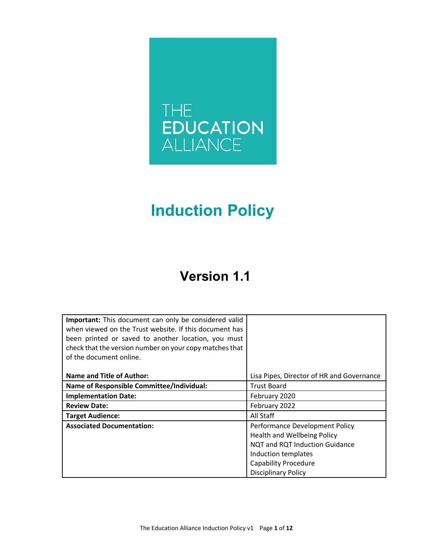

# **Induction Policy**

## **Version 1.1**

| Important: This document can only be considered valid<br>when viewed on the Trust website. If this document has<br>been printed or saved to another location, you must<br>check that the version number on your copy matches that<br>of the document online. |                                           |  |
|--------------------------------------------------------------------------------------------------------------------------------------------------------------------------------------------------------------------------------------------------------------|-------------------------------------------|--|
| <b>Name and Title of Author:</b>                                                                                                                                                                                                                             | Lisa Pipes, Director of HR and Governance |  |
| Name of Responsible Committee/Individual:                                                                                                                                                                                                                    | <b>Trust Board</b>                        |  |
| <b>Implementation Date:</b>                                                                                                                                                                                                                                  | February 2020                             |  |
| <b>Review Date:</b>                                                                                                                                                                                                                                          | February 2022                             |  |
| <b>Target Audience:</b>                                                                                                                                                                                                                                      | All Staff                                 |  |
| <b>Associated Documentation:</b>                                                                                                                                                                                                                             | Performance Development Policy            |  |
|                                                                                                                                                                                                                                                              | Health and Wellbeing Policy               |  |
|                                                                                                                                                                                                                                                              | NQT and RQT Induction Guidance            |  |
|                                                                                                                                                                                                                                                              | Induction templates                       |  |
|                                                                                                                                                                                                                                                              | <b>Capability Procedure</b>               |  |
|                                                                                                                                                                                                                                                              | <b>Disciplinary Policy</b>                |  |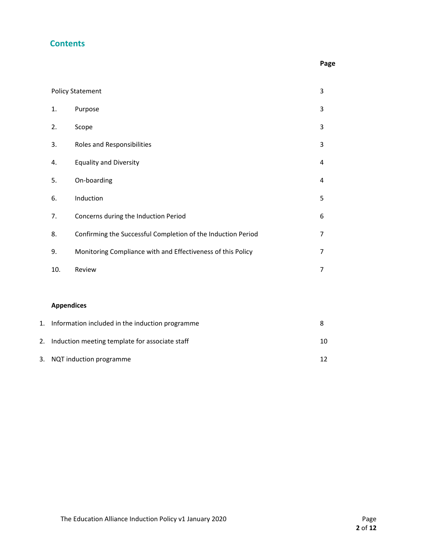#### **Contents**

|  | Page |
|--|------|
|  |      |

|    |                   | <b>Policy Statement</b>                                      | 3  |
|----|-------------------|--------------------------------------------------------------|----|
|    | 1.                | Purpose                                                      | 3  |
|    | 2.                | Scope                                                        | 3  |
|    | 3.                | Roles and Responsibilities                                   | 3  |
|    | 4.                | <b>Equality and Diversity</b>                                | 4  |
|    | 5.                | On-boarding                                                  | 4  |
|    | 6.                | Induction                                                    | 5  |
|    | 7.                | Concerns during the Induction Period                         | 6  |
|    | 8.                | Confirming the Successful Completion of the Induction Period | 7  |
|    | 9.                | Monitoring Compliance with and Effectiveness of this Policy  | 7  |
|    | 10.               | Review                                                       | 7  |
|    |                   |                                                              |    |
|    | <b>Appendices</b> |                                                              |    |
| 1. |                   | Information included in the induction programme              | 8  |
| 2. |                   | Induction meeting template for associate staff               | 10 |

3. NQT induction programme 12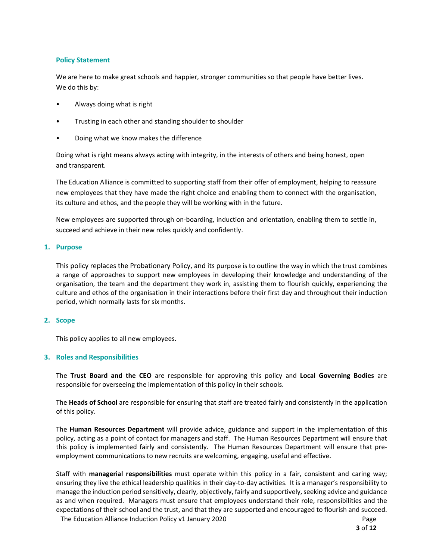#### **Policy Statement**

We are here to make great schools and happier, stronger communities so that people have better lives. We do this by:

- Always doing what is right
- Trusting in each other and standing shoulder to shoulder
- Doing what we know makes the difference

Doing what is right means always acting with integrity, in the interests of others and being honest, open and transparent.

The Education Alliance is committed to supporting staff from their offer of employment, helping to reassure new employees that they have made the right choice and enabling them to connect with the organisation, its culture and ethos, and the people they will be working with in the future.

New employees are supported through on‐boarding, induction and orientation, enabling them to settle in, succeed and achieve in their new roles quickly and confidently.

#### **1. Purpose**

This policy replaces the Probationary Policy, and its purpose is to outline the way in which the trust combines a range of approaches to support new employees in developing their knowledge and understanding of the organisation, the team and the department they work in, assisting them to flourish quickly, experiencing the culture and ethos of the organisation in their interactions before their first day and throughout their induction period, which normally lasts for six months.

#### **2. Scope**

This policy applies to all new employees.

#### **3. Roles and Responsibilities**

The **Trust Board and the CEO**  are responsible for approving this policy and **Local Governing Bodies**  are responsible for overseeing the implementation of this policy in their schools.

The **Heads of School** are responsible for ensuring that staff are treated fairly and consistently in the application of this policy.

The **Human Resources Department** will provide advice, guidance and support in the implementation of this policy, acting as a point of contact for managers and staff. The Human Resources Department will ensure that this policy is implemented fairly and consistently. The Human Resources Department will ensure that preemployment communications to new recruits are welcoming, engaging, useful and effective.

The Education Alliance Induction Policy v1 January 2020 Page Staff with **managerial responsibilities** must operate within this policy in a fair, consistent and caring way; ensuring they live the ethical leadership qualities in their day-to-day activities. It is a manager's responsibility to manage the induction period sensitively, clearly, objectively, fairly and supportively, seeking advice and guidance as and when required. Managers must ensure that employees understand their role, responsibilities and the expectations of their school and the trust, and that they are supported and encouraged to flourish and succeed.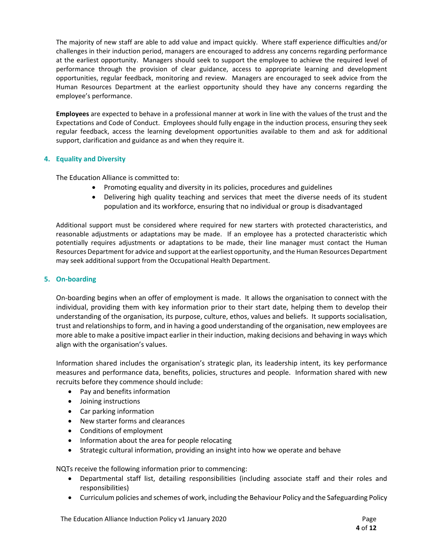The majority of new staff are able to add value and impact quickly. Where staff experience difficulties and/or challenges in their induction period, managers are encouraged to address any concerns regarding performance at the earliest opportunity. Managers should seek to support the employee to achieve the required level of performance through the provision of clear guidance, access to appropriate learning and development opportunities, regular feedback, monitoring and review. Managers are encouraged to seek advice from the Human Resources Department at the earliest opportunity should they have any concerns regarding the employee's performance.

**Employees** are expected to behave in a professional manner at work in line with the values of the trust and the Expectations and Code of Conduct. Employees should fully engage in the induction process, ensuring they seek regular feedback, access the learning development opportunities available to them and ask for additional support, clarification and guidance as and when they require it.

#### **4. Equality and Diversity**

The Education Alliance is committed to:

- Promoting equality and diversity in its policies, procedures and guidelines
- Delivering high quality teaching and services that meet the diverse needs of its student population and its workforce, ensuring that no individual or group is disadvantaged

Additional support must be considered where required for new starters with protected characteristics, and reasonable adjustments or adaptations may be made. If an employee has a protected characteristic which potentially requires adjustments or adaptations to be made, their line manager must contact the Human Resources Department for advice and support at the earliest opportunity, and the Human Resources Department may seek additional support from the Occupational Health Department.

#### **5. On‐boarding**

On‐boarding begins when an offer of employment is made. It allows the organisation to connect with the individual, providing them with key information prior to their start date, helping them to develop their understanding of the organisation, its purpose, culture, ethos, values and beliefs. It supports socialisation, trust and relationships to form, and in having a good understanding of the organisation, new employees are more able to make a positive impact earlier in their induction, making decisions and behaving in ways which align with the organisation's values.

Information shared includes the organisation's strategic plan, its leadership intent, its key performance measures and performance data, benefits, policies, structures and people. Information shared with new recruits before they commence should include:

- Pay and benefits information
- Joining instructions
- Car parking information
- New starter forms and clearances
- Conditions of employment
- Information about the area for people relocating
- Strategic cultural information, providing an insight into how we operate and behave

NQTs receive the following information prior to commencing:

- Departmental staff list, detailing responsibilities (including associate staff and their roles and responsibilities)
- Curriculum policies and schemes of work, including the Behaviour Policy and the Safeguarding Policy

The Education Alliance Induction Policy v1 January 2020 Page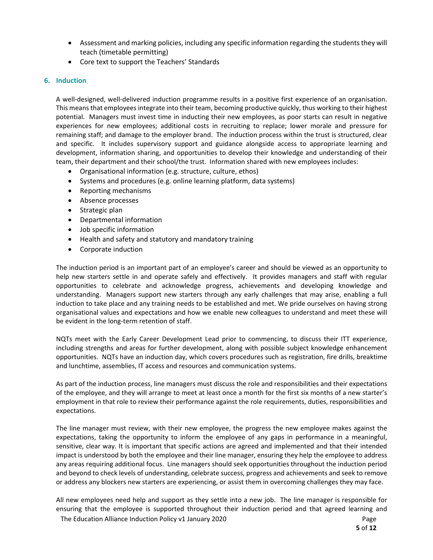- Assessment and marking policies, including any specific information regarding the students they will teach (timetable permitting)
- Core text to support the Teachers' Standards

#### **6. Induction**

A well‐designed, well‐delivered induction programme results in a positive first experience of an organisation. This means that employees integrate into their team, becoming productive quickly, thus working to their highest potential. Managers must invest time in inducting their new employees, as poor starts can result in negative experiences for new employees; additional costs in recruiting to replace; lower morale and pressure for remaining staff; and damage to the employer brand. The induction process within the trust is structured, clear and specific. It includes supervisory support and guidance alongside access to appropriate learning and development, information sharing, and opportunities to develop their knowledge and understanding of their team, their department and their school/the trust. Information shared with new employees includes:

- Organisational information (e.g. structure, culture, ethos)
- Systems and procedures (e.g. online learning platform, data systems)
- Reporting mechanisms
- Absence processes
- Strategic plan
- Departmental information
- Job specific information
- Health and safety and statutory and mandatory training
- Corporate induction

The induction period is an important part of an employee's career and should be viewed as an opportunity to help new starters settle in and operate safely and effectively. It provides managers and staff with regular opportunities to celebrate and acknowledge progress, achievements and developing knowledge and understanding. Managers support new starters through any early challenges that may arise, enabling a full induction to take place and any training needs to be established and met. We pride ourselves on having strong organisational values and expectations and how we enable new colleagues to understand and meet these will be evident in the long‐term retention of staff.

NQTs meet with the Early Career Development Lead prior to commencing, to discuss their ITT experience, including strengths and areas for further development, along with possible subject knowledge enhancement opportunities. NQTs have an induction day, which covers procedures such as registration, fire drills, breaktime and lunchtime, assemblies, IT access and resources and communication systems.

As part of the induction process, line managers must discuss the role and responsibilities and their expectations of the employee, and they will arrange to meet at least once a month for the first six months of a new starter's employment in that role to review their performance against the role requirements, duties, responsibilities and expectations.

 The line manager must review, with their new employee, the progress the new employee makes against the expectations, taking the opportunity to inform the employee of any gaps in performance in a meaningful, sensitive, clear way. It is important that specific actions are agreed and implemented and that their intended impact is understood by both the employee and their line manager, ensuring they help the employee to address any areas requiring additional focus. Line managers should seek opportunities throughout the induction period and beyond to check levels of understanding, celebrate success, progress and achievements and seek to remove or address any blockers new starters are experiencing, or assist them in overcoming challenges they may face.

All new employees need help and support as they settle into a new job. The line manager is responsible for ensuring that the employee is supported throughout their induction period and that agreed learning and

The Education Alliance Induction Policy v1 January 2020 Page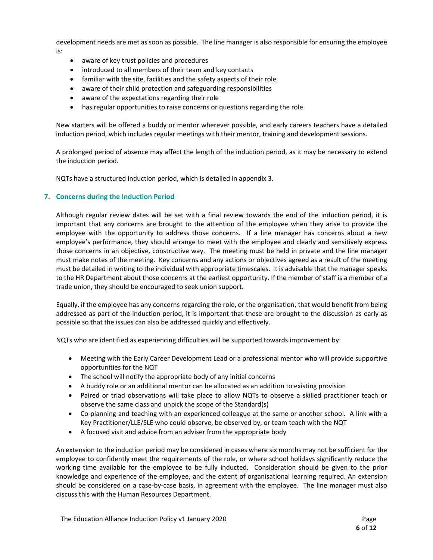development needs are met as soon as possible. The line manager is also responsible for ensuring the employee is:

- aware of key trust policies and procedures
- introduced to all members of their team and key contacts
- familiar with the site, facilities and the safety aspects of their role
- aware of their child protection and safeguarding responsibilities
- aware of the expectations regarding their role
- has regular opportunities to raise concerns or questions regarding the role

New starters will be offered a buddy or mentor wherever possible, and early careers teachers have a detailed induction period, which includes regular meetings with their mentor, training and development sessions.

A prolonged period of absence may affect the length of the induction period, as it may be necessary to extend the induction period.

NQTs have a structured induction period, which is detailed in appendix 3.

#### **7. Concerns during the Induction Period**

Although regular review dates will be set with a final review towards the end of the induction period, it is important that any concerns are brought to the attention of the employee when they arise to provide the employee with the opportunity to address those concerns. If a line manager has concerns about a new employee's performance, they should arrange to meet with the employee and clearly and sensitively express those concerns in an objective, constructive way. The meeting must be held in private and the line manager must make notes of the meeting. Key concerns and any actions or objectives agreed as a result of the meeting must be detailed in writing to the individual with appropriate timescales. It is advisable that the manager speaks to the HR Department about those concerns at the earliest opportunity. If the member of staff is a member of a trade union, they should be encouraged to seek union support.

 Equally, if the employee has any concerns regarding the role, or the organisation, that would benefit from being addressed as part of the induction period, it is important that these are brought to the discussion as early as possible so that the issues can also be addressed quickly and effectively.

NQTs who are identified as experiencing difficulties will be supported towards improvement by:

- Meeting with the Early Career Development Lead or a professional mentor who will provide supportive opportunities for the NQT
- The school will notify the appropriate body of any initial concerns
- A buddy role or an additional mentor can be allocated as an addition to existing provision
- Paired or triad observations will take place to allow NQTs to observe a skilled practitioner teach or observe the same class and unpick the scope of the Standard(s)
- Co-planning and teaching with an experienced colleague at the same or another school. A link with a Key Practitioner/LLE/SLE who could observe, be observed by, or team teach with the NQT
- A focused visit and advice from an adviser from the appropriate body

An extension to the induction period may be considered in cases where six months may not be sufficient for the employee to confidently meet the requirements of the role, or where school holidays significantly reduce the working time available for the employee to be fully inducted. Consideration should be given to the prior knowledge and experience of the employee, and the extent of organisational learning required. An extension should be considered on a case-by-case basis, in agreement with the employee. The line manager must also discuss this with the Human Resources Department.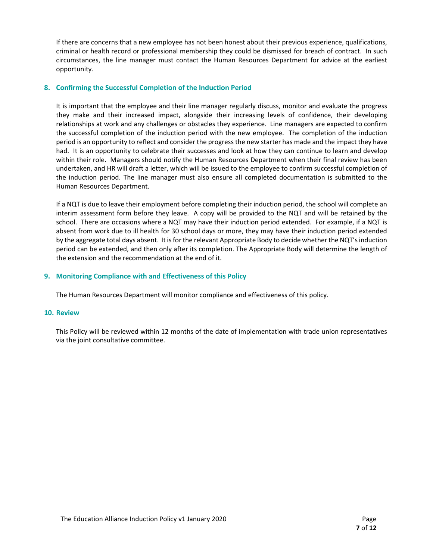If there are concerns that a new employee has not been honest about their previous experience, qualifications, criminal or health record or professional membership they could be dismissed for breach of contract. In such circumstances, the line manager must contact the Human Resources Department for advice at the earliest opportunity.

#### **8. Confirming the Successful Completion of the Induction Period**

It is important that the employee and their line manager regularly discuss, monitor and evaluate the progress they make and their increased impact, alongside their increasing levels of confidence, their developing relationships at work and any challenges or obstacles they experience. Line managers are expected to confirm the successful completion of the induction period with the new employee. The completion of the induction period is an opportunity to reflect and consider the progress the new starter has made and the impact they have had. It is an opportunity to celebrate their successes and look at how they can continue to learn and develop within their role. Managers should notify the Human Resources Department when their final review has been undertaken, and HR will draft a letter, which will be issued to the employee to confirm successful completion of the induction period. The line manager must also ensure all completed documentation is submitted to the Human Resources Department.

If a NQT is due to leave their employment before completing their induction period, the school will complete an interim assessment form before they leave. A copy will be provided to the NQT and will be retained by the school. There are occasions where a NQT may have their induction period extended. For example, if a NQT is absent from work due to ill health for 30 school days or more, they may have their induction period extended by the aggregate total days absent. It is for the relevant Appropriate Body to decide whether the NQT's induction period can be extended, and then only after its completion. The Appropriate Body will determine the length of the extension and the recommendation at the end of it.

#### **9. Monitoring Compliance with and Effectiveness of this Policy**

The Human Resources Department will monitor compliance and effectiveness of this policy.

#### **10. Review**

This Policy will be reviewed within 12 months of the date of implementation with trade union representatives via the joint consultative committee.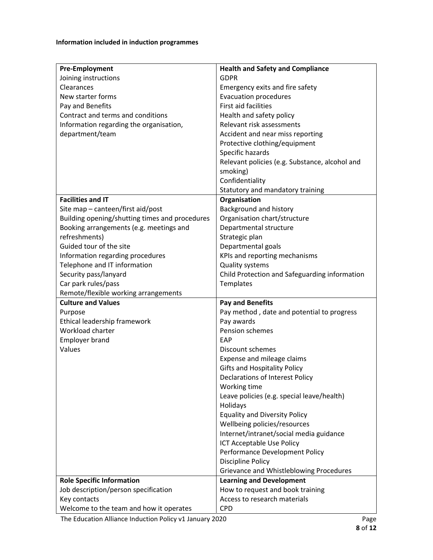#### **Information included in induction programmes**

| <b>Pre-Employment</b>                          | <b>Health and Safety and Compliance</b>        |  |
|------------------------------------------------|------------------------------------------------|--|
| Joining instructions                           | <b>GDPR</b>                                    |  |
| Clearances                                     | Emergency exits and fire safety                |  |
| New starter forms                              | <b>Evacuation procedures</b>                   |  |
| Pay and Benefits                               | <b>First aid facilities</b>                    |  |
| Contract and terms and conditions              | Health and safety policy                       |  |
| Information regarding the organisation,        | Relevant risk assessments                      |  |
| department/team                                | Accident and near miss reporting               |  |
|                                                | Protective clothing/equipment                  |  |
|                                                | Specific hazards                               |  |
|                                                | Relevant policies (e.g. Substance, alcohol and |  |
|                                                | smoking)                                       |  |
|                                                | Confidentiality                                |  |
|                                                | Statutory and mandatory training               |  |
| <b>Facilities and IT</b>                       | Organisation                                   |  |
| Site map - canteen/first aid/post              | Background and history                         |  |
| Building opening/shutting times and procedures | Organisation chart/structure                   |  |
| Booking arrangements (e.g. meetings and        | Departmental structure                         |  |
| refreshments)                                  | Strategic plan                                 |  |
| Guided tour of the site                        | Departmental goals                             |  |
| Information regarding procedures               | KPIs and reporting mechanisms                  |  |
| Telephone and IT information                   | <b>Quality systems</b>                         |  |
| Security pass/lanyard                          | Child Protection and Safeguarding information  |  |
| Car park rules/pass                            | Templates                                      |  |
| Remote/flexible working arrangements           |                                                |  |
| <b>Culture and Values</b>                      | <b>Pay and Benefits</b>                        |  |
| Purpose                                        | Pay method, date and potential to progress     |  |
| Ethical leadership framework                   | Pay awards                                     |  |
| Workload charter                               | Pension schemes                                |  |
| <b>Employer brand</b>                          | EAP                                            |  |
| Values                                         | Discount schemes                               |  |
|                                                | Expense and mileage claims                     |  |
|                                                | <b>Gifts and Hospitality Policy</b>            |  |
|                                                | <b>Declarations of Interest Policy</b>         |  |
|                                                | Working time                                   |  |
|                                                | Leave policies (e.g. special leave/health)     |  |
|                                                | Holidays                                       |  |
|                                                | <b>Equality and Diversity Policy</b>           |  |
|                                                | Wellbeing policies/resources                   |  |
|                                                | Internet/intranet/social media guidance        |  |
|                                                | ICT Acceptable Use Policy                      |  |
|                                                | Performance Development Policy                 |  |
|                                                | Discipline Policy                              |  |
|                                                | Grievance and Whistleblowing Procedures        |  |
| <b>Role Specific Information</b>               | <b>Learning and Development</b>                |  |
| Job description/person specification           | How to request and book training               |  |
| Key contacts                                   | Access to research materials                   |  |
| Welcome to the team and how it operates        | <b>CPD</b>                                     |  |

The Education Alliance Induction Policy v1 January 2020 **1999 12:33 Page**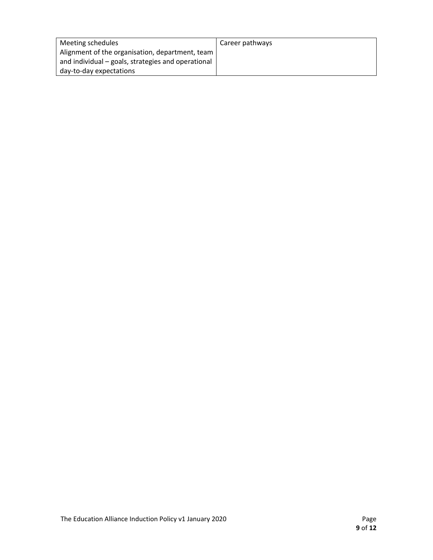| Meeting schedules                                  | Career pathways |
|----------------------------------------------------|-----------------|
| Alignment of the organisation, department, team    |                 |
| and individual – goals, strategies and operational |                 |
| day-to-day expectations                            |                 |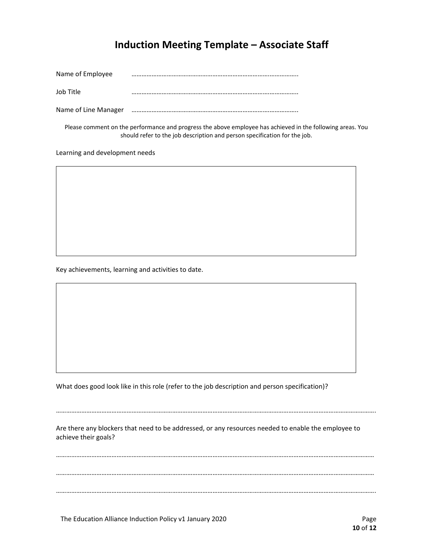### **Induction Meeting Template – Associate Staff**

| Name of Employee     |  |
|----------------------|--|
| Job Title            |  |
| Name of Line Manager |  |

Please comment on the performance and progress the above employee has achieved in the following areas. You should refer to the job description and person specification for the job.

Learning and development needs

Key achievements, learning and activities to date.

What does good look like in this role (refer to the job description and person specification)?

Are there any blockers that need to be addressed, or any resources needed to enable the employee to achieve their goals?

……………………………………………………………………………………………………………………………………………………………………….

……………………………………………………………………………………………………………………………………………………………………… ……………………………………………………………………………………………………………………………………………………………………… ……………………………………………………………………………………………………………………………………………………………………….

The Education Alliance Induction Policy v1 January 2020 Page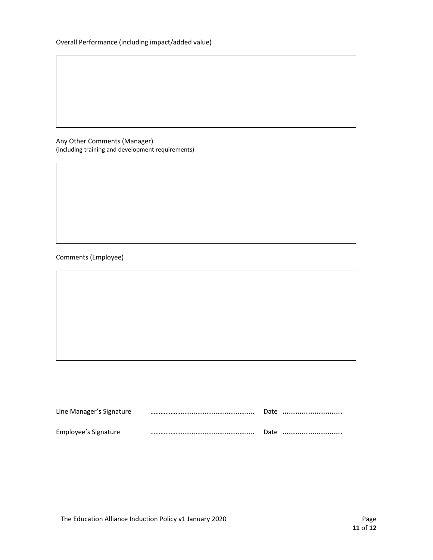Any Other Comments (Manager) (including training and development requirements)

#### Comments (Employee)

| Line Manager's Signature |  | Date |
|--------------------------|--|------|
| Employee's Signature     |  | Date |